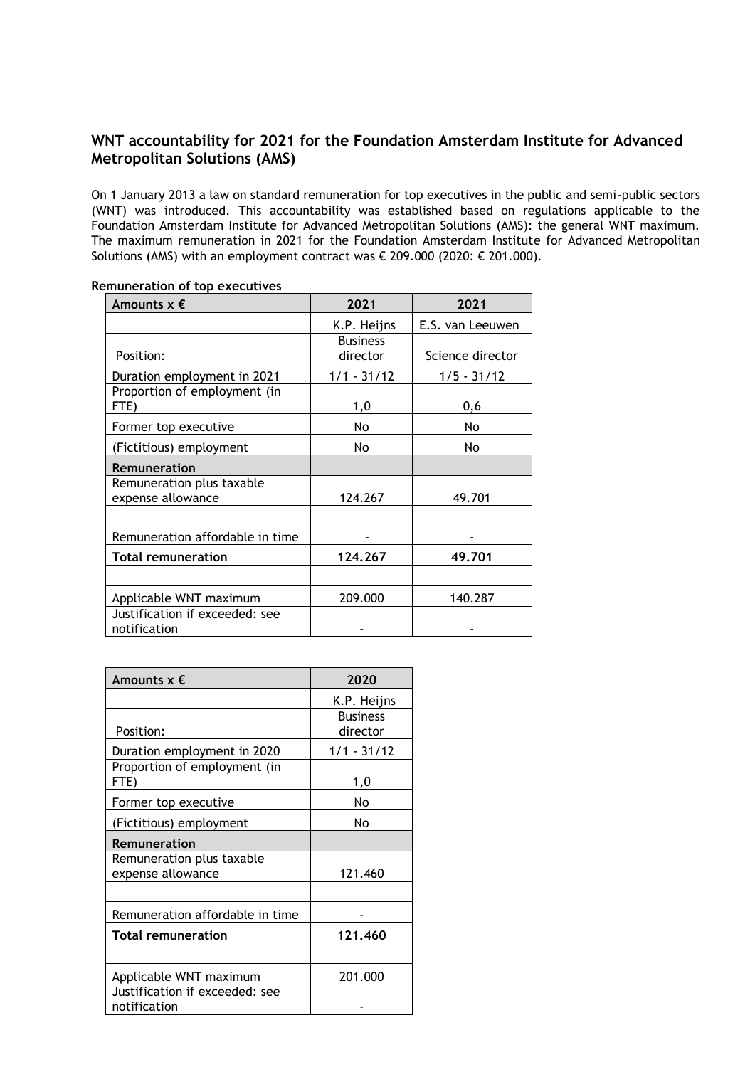## **WNT accountability for 2021 for the Foundation Amsterdam Institute for Advanced Metropolitan Solutions (AMS)**

On 1 January 2013 a law on standard remuneration for top executives in the public and semi-public sectors (WNT) was introduced. This accountability was established based on regulations applicable to the Foundation Amsterdam Institute for Advanced Metropolitan Solutions (AMS): the general WNT maximum. The maximum remuneration in 2021 for the Foundation Amsterdam Institute for Advanced Metropolitan Solutions (AMS) with an employment contract was  $€$  209.000 (2020:  $€$  201.000).

| Amounts $x \in$                                | 2021                        | 2021             |
|------------------------------------------------|-----------------------------|------------------|
|                                                | K.P. Heijns                 | E.S. van Leeuwen |
| Position:                                      | <b>Business</b><br>director | Science director |
| Duration employment in 2021                    | $1/1 - 31/12$               | $1/5 - 31/12$    |
| Proportion of employment (in<br>FTE)           | 1,0                         | 0,6              |
| Former top executive                           | No                          | No.              |
| (Fictitious) employment                        | No                          | No               |
| <b>Remuneration</b>                            |                             |                  |
| Remuneration plus taxable<br>expense allowance | 124.267                     | 49.701           |
| Remuneration affordable in time                |                             |                  |
| <b>Total remuneration</b>                      | 124.267                     | 49.701           |
|                                                |                             |                  |
| Applicable WNT maximum                         | 209.000                     | 140.287          |
| Justification if exceeded: see<br>notification |                             |                  |

**Remuneration of top executives**

| Amounts $x \notin$                             | 2020                        |
|------------------------------------------------|-----------------------------|
|                                                | K.P. Heijns                 |
| Position:                                      | <b>Business</b><br>director |
| Duration employment in 2020                    | 1/1 - 31/12                 |
| Proportion of employment (in<br>FTE)           | 1,0                         |
| Former top executive                           | No                          |
| (Fictitious) employment                        | No                          |
| <b>Remuneration</b>                            |                             |
| Remuneration plus taxable<br>expense allowance | 121.460                     |
|                                                |                             |
| Remuneration affordable in time                |                             |
| <b>Total remuneration</b>                      | 121.460                     |
|                                                |                             |
| Applicable WNT maximum                         | 201.000                     |
| Justification if exceeded: see<br>notification |                             |